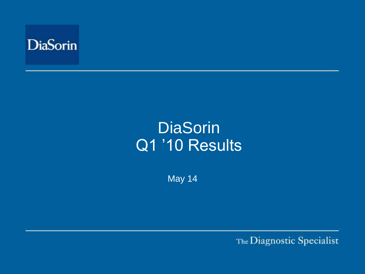

# **DiaSorin** Q1 '10 Results'

May 14

The Diagnostic Specialist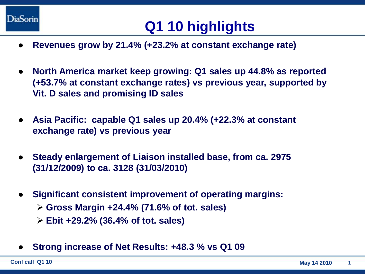

## **Q1 10 highlights**

- **Revenues grow by 21.4% (+23.2% at constant exchange rate)**
- **North America market keep growing: Q1 sales up 44.8% as reported (+53.7% at constant exchange rates) vs previous year, supported by Vit. D sales and promising ID sales**
- **Asia Pacific: capable Q1 sales up 20.4% (+22.3% at constant exchange rate) vs previous year**
- **Steady enlargement of Liaison installed base, from ca. 2975 (31/12/2009) to ca. 3128 (31/03/2010)**
- **Significant consistent improvement of operating margins:** 
	- **Gross Margin +24.4% (71.6% of tot. sales)**
	- **Ebit +29.2% (36.4% of tot. sales)**
- **Strong increase of Net Results: +48.3 % vs Q1 09**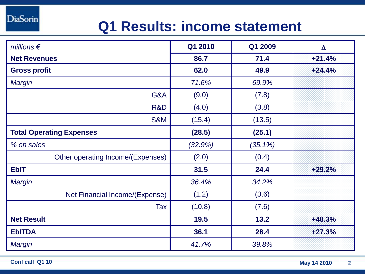**DiaSorin** 

### **Q1 Results: income statement**

| millions $\epsilon$               | Q1 2010 | Q1 2009    | $\Delta$ |
|-----------------------------------|---------|------------|----------|
| <b>Net Revenues</b>               | 86.7    | 71.4       | $+21.4%$ |
| <b>Gross profit</b>               | 62.0    | 49.9       | $+24.4%$ |
| Margin                            | 71.6%   | 69.9%      |          |
| G&A                               | (9.0)   | (7.8)      |          |
| R&D                               | (4.0)   | (3.8)      |          |
| <b>S&amp;M</b>                    | (15.4)  | (13.5)     |          |
| <b>Total Operating Expenses</b>   | (28.5)  | (25.1)     |          |
| % on sales                        | (32.9%) | $(35.1\%)$ |          |
| Other operating Income/(Expenses) | (2.0)   | (0.4)      |          |
| <b>EbIT</b>                       | 31.5    | 24.4       | $+29.2%$ |
| Margin                            | 36.4%   | 34.2%      |          |
| Net Financial Income/(Expense)    | (1.2)   | (3.6)      |          |
| Tax                               | (10.8)  | (7.6)      |          |
| <b>Net Result</b>                 | 19.5    | 13.2       | $+48.3%$ |
| <b>EbITDA</b>                     | 36.1    | 28.4       | $+27.3%$ |
| <b>Margin</b>                     | 41.7%   | 39.8%      |          |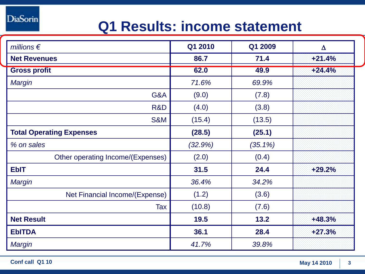**DiaSorin** 

### **Q1 Results: income statement**

| millions $\epsilon$               | Q1 2010 | Q1 2009    | $\Delta$ |
|-----------------------------------|---------|------------|----------|
| <b>Net Revenues</b>               | 86.7    | 71.4       | $+21.4%$ |
| <b>Gross profit</b>               | 62.0    | 49.9       | $+24.4%$ |
| Margin                            | 71.6%   | 69.9%      |          |
| G&A                               | (9.0)   | (7.8)      |          |
| R&D                               | (4.0)   | (3.8)      |          |
| <b>S&amp;M</b>                    | (15.4)  | (13.5)     |          |
| <b>Total Operating Expenses</b>   | (28.5)  | (25.1)     |          |
| % on sales                        | (32.9%) | $(35.1\%)$ |          |
| Other operating Income/(Expenses) | (2.0)   | (0.4)      |          |
| <b>EbIT</b>                       | 31.5    | 24.4       | $+29.2%$ |
| <b>Margin</b>                     | 36.4%   | 34.2%      |          |
| Net Financial Income/(Expense)    | (1.2)   | (3.6)      |          |
| Tax                               | (10.8)  | (7.6)      |          |
| <b>Net Result</b>                 | 19.5    | 13.2       | $+48.3%$ |
| <b>EbITDA</b>                     | 36.1    | 28.4       | $+27.3%$ |
| <b>Margin</b>                     | 41.7%   | 39.8%      |          |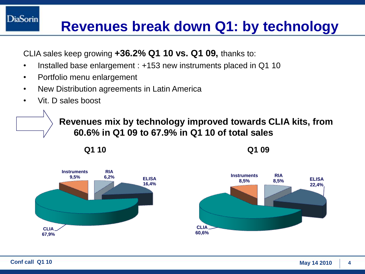### **Revenues break down Q1: by technology**

CLIA sales keep growing **+36.2% Q1 10 vs. Q1 09,** thanks to:

- Installed base enlargement : +153 new instruments placed in Q1 10
- Portfolio menu enlargement
- New Distribution agreements in Latin America
- Vit. D sales boost

**DiaSorin** 

**Revenues mix by technology improved towards CLIA kits, from 60.6% in Q1 09 to 67.9% in Q1 10 of total sales** 

**Q1 10 Q1 09**



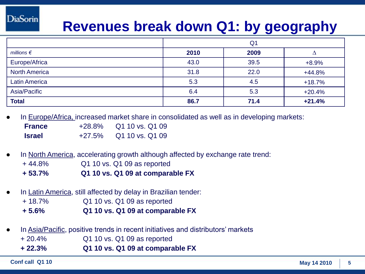### **Revenues break down Q1: by geography**

|                      | Q <sub>1</sub> |      |          |
|----------------------|----------------|------|----------|
| millions $\epsilon$  | 2010           | 2009 |          |
| Europe/Africa        | 43.0           | 39.5 | $+8.9%$  |
| <b>North America</b> | 31.8           | 22.0 | $+44.8%$ |
| <b>Latin America</b> | 5.3            | 4.5  | $+18.7%$ |
| Asia/Pacific         | 6.4            | 5.3  | $+20.4%$ |
| <b>Total</b>         | 86.7           | 71.4 | $+21.4%$ |

In Europe/Africa, increased market share in consolidated as well as in developing markets:

| <b>France</b> | $+28.8\%$ | Q1 10 vs. Q1 09 |
|---------------|-----------|-----------------|
| <b>Israel</b> | $+27.5\%$ | Q1 10 vs. Q1 09 |

- In North America, accelerating growth although affected by exchange rate trend:
	- + 44.8% Q1 10 vs. Q1 09 as reported
	- **+ 53.7% Q1 10 vs. Q1 09 at comparable FX**
- In Latin America, still affected by delay in Brazilian tender:
	- + 18.7% Q1 10 vs. Q1 09 as reported
	- **+ 5.6% Q1 10 vs. Q1 09 at comparable FX**
- In Asia/Pacific, positive trends in recent initiatives and distributors' markets
	- + 20.4% Q1 10 vs. Q1 09 as reported
	- **+ 22.3% Q1 10 vs. Q1 09 at comparable FX**

**DiaSorin**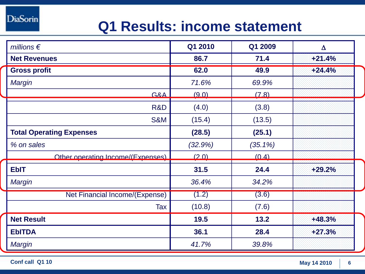**DiaSorin** 

### **Q1 Results: income statement**

| millions $\epsilon$                   | Q1 2010 | Q1 2009    | $\Delta$ |
|---------------------------------------|---------|------------|----------|
| <b>Net Revenues</b>                   | 86.7    | 71.4       | $+21.4%$ |
| <b>Gross profit</b>                   | 62.0    | 49.9       | $+24.4%$ |
| Margin                                | 71.6%   | 69.9%      |          |
| G&A                                   | (9.0)   | (7.8)      |          |
| R&D                                   | (4.0)   | (3.8)      |          |
| <b>S&amp;M</b>                        | (15.4)  | (13.5)     |          |
| <b>Total Operating Expenses</b>       | (28.5)  | (25.1)     |          |
| % on sales                            | (32.9%) | $(35.1\%)$ |          |
| Other operating Income/(Expenses)     | (20)    | (0, 4)     |          |
| <b>EbIT</b>                           | 31.5    | 24.4       | $+29.2%$ |
| <b>Margin</b>                         | 36.4%   | 34.2%      |          |
| <b>Net Financial Income/(Expense)</b> | (1.2)   | (3.6)      |          |
| Tax                                   | (10.8)  | (7.6)      |          |
| <b>Net Result</b>                     | 19.5    | 13.2       | $+48.3%$ |
| <b>EbITDA</b>                         | 36.1    | 28.4       | $+27.3%$ |
| <b>Margin</b>                         | 41.7%   | 39.8%      |          |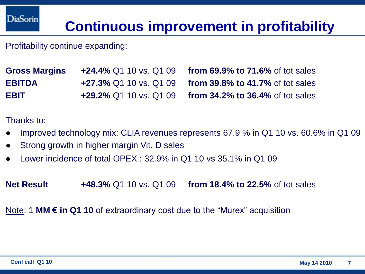### **Continuous improvement in profitability**

Profitability continue expanding:

**Gross Margins +24.4%** Q1 10 vs. Q1 09 **from 69.9% to 71.6%** of tot sales **EBITDA +27.3%** Q1 10 vs. Q1 09 **from 39.8% to 41.7%** of tot sales **EBIT +29.2%** Q1 10 vs. Q1 09 **from 34.2% to 36.4%** of tot sales

Thanks to:

- Improved technology mix: CLIA revenues represents 67.9 % in Q1 10 vs. 60.6% in Q1 09
- Strong growth in higher margin Vit. D sales
- Lower incidence of total OPEX  $\cdot$  32.9% in Q1.10 vs 35.1% in Q1.09

**Net Result +48.3%** Q1 10 vs. Q1 09 **from 18.4% to 22.5%** of tot sales

Note: 1 **MM € in Q1 10** of extraordinary cost due to the "Murex" acquisition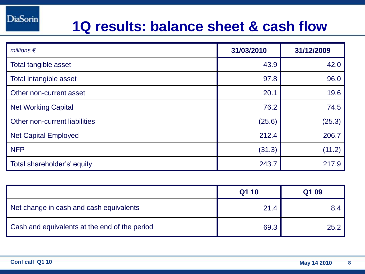#### **1Q results: balance sheet & cash flow**

| millions $\epsilon$           | 31/03/2010 | 31/12/2009 |
|-------------------------------|------------|------------|
| Total tangible asset          | 43.9       | 42.0       |
| Total intangible asset        | 97.8       | 96.0       |
| Other non-current asset       | 20.1       | 19.6       |
| <b>Net Working Capital</b>    | 76.2       | 74.5       |
| Other non-current liabilities | (25.6)     | (25.3)     |
| <b>Net Capital Employed</b>   | 212.4      | 206.7      |
| <b>NFP</b>                    | (31.3)     | (11.2)     |
| Total shareholder's' equity   | 243.7      | 217.9      |

|                                               | Q1 10 | Q1 09 |
|-----------------------------------------------|-------|-------|
| Net change in cash and cash equivalents       | 21.4  | 8.4   |
| Cash and equivalents at the end of the period | 69.3  | 25.2  |